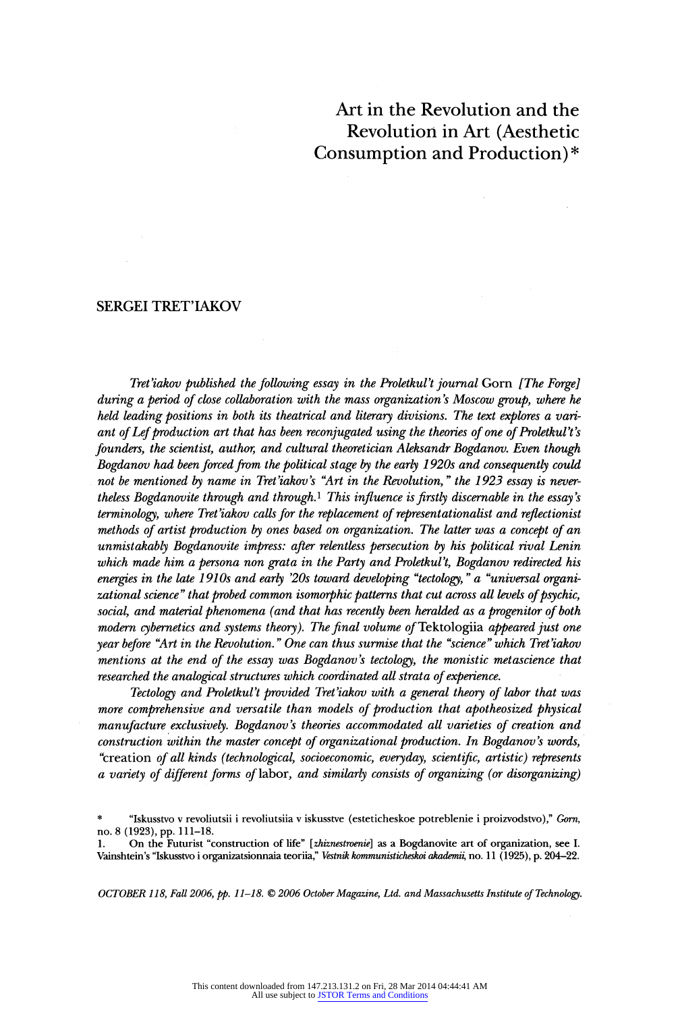## Art in the Revolution and the Revolution in Art (Aesthetic Consumption and Production)\*

## SERGEI TRET'IAKOV

Tret'iakov published the following essay in the Proletkul't journal Gorn [The Forge] during a period of close collaboration with the mass organization 's Moscow group, where he held leading positions in both its theatrical and literary divisions. The text explores a variant of Lef production art that has been reconjugated using the theories of one of Proletkul't's founders, the scientist, author, and cultural theoretician Aleksandr Bogdanov. Even though Bogdanov had been forced from the political stage by the early 1920s and consequently could not be mentioned by name in Tret'iakov's "Art in the Revolution," the  $1923$  essay is nevertheless Bogdanovite through and through.<sup>1</sup> This influence is firstly discernable in the essay's terminology, where Tret'iakov calls for the replacement of representationalist and reflectionist methods of artist production by ones based on organization. The latter was a concept of an unmistakably Bogdanovite impress: after relentless persecution by his political rival Lenin which made him a persona non grata in the Party and Proletkul't, Bogdanov redirected his energies in the late 1910s and early '20s toward developing "tectology, " a "universal organizational science" that probed common isomorphic patterns that cut across all levels of psychic, social, and material phenomena (and that has recently been heralded as a progenitor of both modern cybernetics and systems theory). The final volume of Tektologiia appeared just one year before "Art in the Revolution." One can thus surmise that the "science" which Tret'iakov mentions at the end of the essay was Bogdanov 's tectology, the monistic metascience that researched the analogical structures which coordinated all strata of experience.

Tectology and Proletkul't provided Tret'iakov with a general theory of labor that was more comprehensive and versatile than models of production that apotheosized physical manufacture exclusively. Bogdanov 's theories accommodated all varieties of creation and construction within the master concept of organizational production. In Bogdanov's words, "creation of all kinds (technological, socioeconomic, everyday, scientific, artistic) represents a variety of different forms of labor, and similarly consists of organizing (or disorganizing)

<sup>\* &</sup>quot;Iskusstvo v revoliutsii revoliutsiia v iskusstve (esteticheskoe potreblenie i proizvodstvo)," Gorn, no. 8 (1923), pp. 111–18.<br>1. On the Futurist "c

<sup>1.</sup> On the Futurist "construction of life" [zhiznestroenie] as a Bogdanovite art of organization, see I. Vainshtein's "Iskusstvo i organizatsionnaia teoriia," Vestnik kommunisticheskoi akademii, no. 11 (1925), p. 204-22.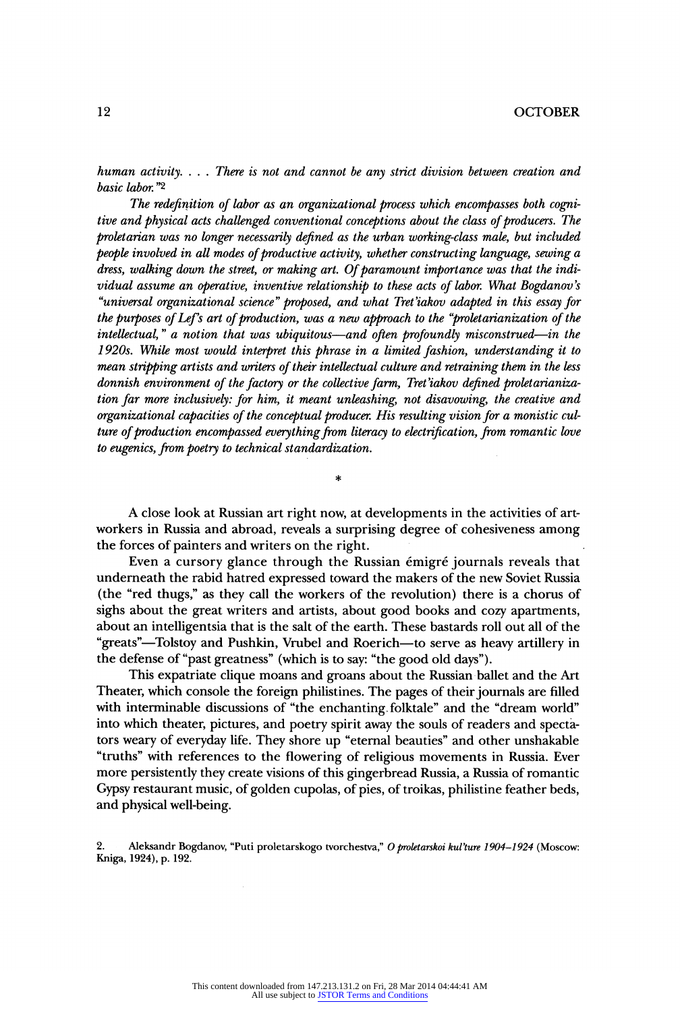human activity. ... There is not and cannot be any strict division between creation and basic labor. "2

The redefinition of labor as an organizational process which encompasses both cognitive and physical acts challenged conventional conceptions about the class of producers. The proletarian was no longer necessarily defined as the urban working-class male, but included people involved in all modes of productive activity, whether constructing language, sewing a dress, walking down the street, or making art. Of paramount importance was that the individual assume an operative, inventive relationship to these acts of labor. What Bogdanov's "universal organizational science" proposed, and what Tret'iakov adapted in this essay for the purposes of Lef's art of production, was a new approach to the "proletarianization of the intellectual, " a notion that was ubiquitous - and often profoundly misconstrued - in the 1 920s. While most would interpret this phrase in a limited fashion, understanding it to mean stripping artists and writers of their intellectual culture and retraining them in the less donnish environment of the factory or the collective farm, Tret'iakov defined proletarianization far more inclusively: for him, it meant unleashing, not disavowing, the creative and organizational capacities of the conceptual producer. His resulting vision for a monistic culture of production encompassed everything from literacy to electrification, from romantic love to eugenics, from poetry to technical standardization.

A close look at Russian art right now, at developments in the activities of artworkers in Russia and abroad, reveals a surprising degree of cohesiveness among the forces of painters and writers on the right.

\*

Even a cursory glance through the Russian emigre journals reveals that underneath the rabid hatred expressed toward the makers of the new Soviet Russia (the "red thugs," as they call the workers of the revolution) there is a chorus of sighs about the great writers and artists, about good books and cozy apartments, about an intelligentsia that is the salt of the earth. These bastards roll out all of the "greats"—Tolstoy and Pushkin, Vrubel and Roerich—to serve as heavy artillery in the defense of "past greatness" (which is to say: "the good old days").

This expatriate clique moans and groans about the Russian ballet and the Art Theater, which console the foreign philistines. The pages of their journals are filled with interminable discussions of "the enchanting, folktale" and the "dream world" into which theater, pictures, and poetry spirit away the souls of readers and spectators weary of everyday life. They shore up "eternal beauties" and other unshakable "truths" with references to the flowering of religious movements in Russia. Ever more persistently they create visions of this gingerbread Russia, a Russia of romantic Gypsy restaurant music, of golden cupolas, of pies, of troikas, philistine feather beds, and physical well-being.

<sup>2.</sup> Aleksandr Bogdanov, "Puti proletarskogo tvorchestva," O proletarskoi kul'ture 1904-1924 (Moscow: Kniga, 1924), p. 192.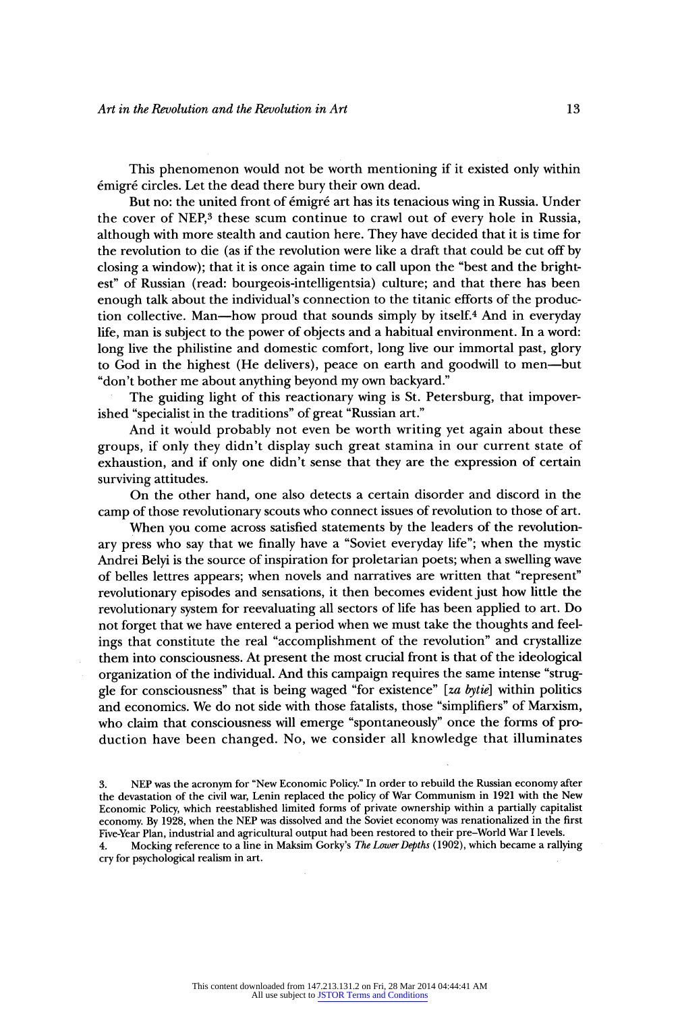This phenomenon would not be worth mentioning if it existed only within emigre circles. Let the dead there bury their own dead.

But no: the united front of émigré art has its tenacious wing in Russia. Under the cover of NEP,<sup>3</sup> these scum continue to crawl out of every hole in Russia. although with more stealth and caution here. They have decided that it is time for the revolution to die (as if the revolution were like a draft that could be cut off by closing a window); that it is once again time to call upon the "best and the brightest" of Russian (read: bourgeois-intelligentsia) culture; and that there has been enough talk about the individual's connection to the titanic efforts of the production collective. Man-how proud that sounds simply by itself.<sup>4</sup> And in everyday life, man is subject to the power of objects and a habitual environment. In a word: long live the philistine and domestic comfort, long live our immortal past, glory to God in the highest (He delivers), peace on earth and goodwill to men-but "don't bother me about anything beyond my own backyard."

The guiding light of this reactionary wing is St. Petersburg, that impoverished "specialist in the traditions" of great "Russian art."

And it would probably not even be worth writing yet again about these groups, if only they didn't display such great stamina in our current state of exhaustion, and if only one didn't sense that they are the expression of certain surviving attitudes.

On the other hand, one also detects a certain disorder and discord in the camp of those revolutionary scouts who connect issues of revolution to those of art.

When you come across satisfied statements by the leaders of the revolutionary press who say that we finally have a "Soviet everyday life"; when the mystic Andrei Belyi is the source of inspiration for proletarian poets; when a swelling wave of belles lettres appears; when novels and narratives are written that "represent" revolutionary episodes and sensations, it then becomes evident just how little the revolutionary system for reevaluating all sectors of life has been applied to art. Do not forget that we have entered a period when we must take the thoughts and feelings that constitute the real "accomplishment of the revolution" and crystallize them into consciousness. At present the most crucial front is that of the ideological organization of the individual. And this campaign requires the same intense "struggle for consciousness" that is being waged "for existence" [za bytie] within politics and economics. We do not side with those fatalists, those "simplifiers" of Marxism, who claim that consciousness will emerge "spontaneously" once the forms of production have been changed. No, we consider all knowledge that illuminates

<sup>3.</sup> NEP was the acronym for "New Economic Policy." In order to rebuild the Russian economy after the devastation of the civil war, Lenin replaced the policy of War Communism in 1921 with the New Economic Policy, which reestablished limited forms of private ownership within a partially capitalist economy. By 1928, when the NEP was dissolved and the Soviet economy was renationalized in the first Five-Year Plan, industrial and agricultural output had been restored to their pre-World War I levels.

<sup>4.</sup> Mocking reference to a line in Maksim Gorky's The Lower Depths (1902), which became a rallying cry for psychological realism in art.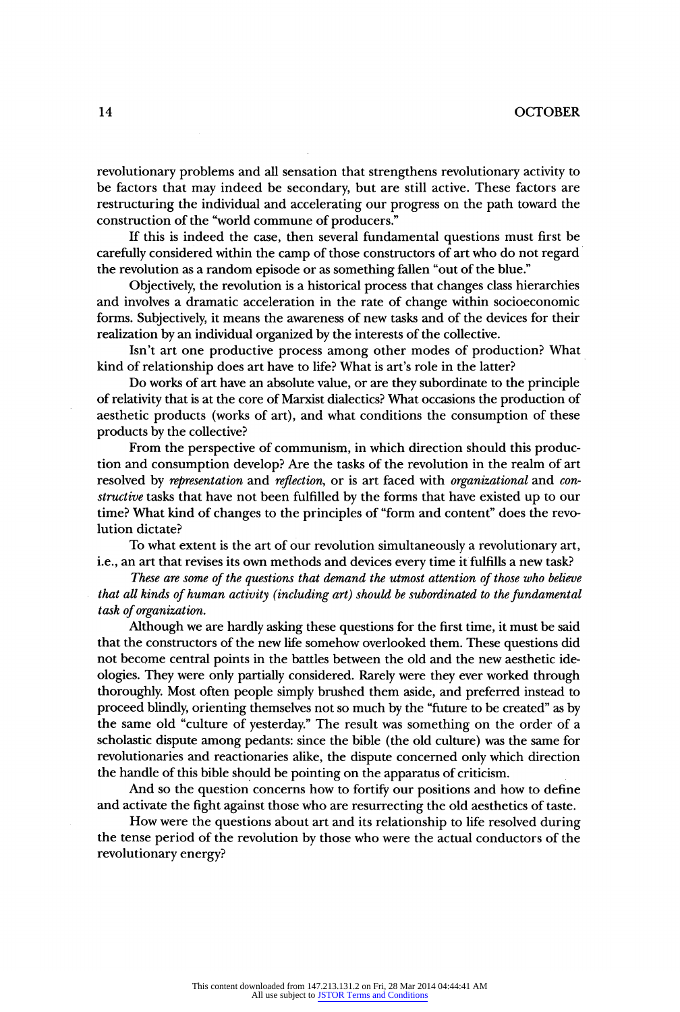revolutionary problems and all sensation that strengthens revolutionary activity to be factors that may indeed be secondary, but are still active. These factors are restructuring the individual and accelerating our progress on the path toward the construction of the "world commune of producers."

If this is indeed the case, then several fundamental questions must first be carefully considered within the camp of those constructors of art who do not regard the revolution as a random episode or as something fallen "out of the blue."

Objectively, the revolution isa historical process that changes class hierarchies and involves a dramatic acceleration in the rate of change within socioeconomic forms. Subjectively, it means the awareness of new tasks and of the devices for their realization by an individual organized by the interests of the collective.

Isn't art one productive process among other modes of production? What kind of relationship does art have to life? What is art's role in the latter?

Do works of art have an absolute value, or are they subordinate to the principle of relativity that is at the core of Marxist dialectics? What occasions the production of aesthetic products (works of art), and what conditions the consumption of these products by the collective?

From the perspective of communism, in which direction should this production and consumption develop? Are the tasks of the revolution in the realm of art resolved by representation and reflection, or is art faced with organizational and constructive tasks that have not been fulfilled by the forms that have existed up to our time? What kind of changes to the principles of "form and content" does the revolution dictate?

To what extent is the art of our revolution simultaneously a revolutionary art, i.e., an art that revises its own methods and devices every time it fulfills a new task?

These are some of the questions that demand the utmost attention of those who believe that all kinds of human activity (including art) should be subordinated tothe fundamental task of organization.

Although we are hardly asking these questions for the first time, it must be said that the constructors of the new life somehow overlooked them. These questions did not become central points in the battles between the old and the new aesthetic ideologies. They were only partially considered. Rarely were they ever worked through thoroughly. Most often people simply brushed them aside, and preferred instead to proceed blindly, orienting themselves not so much by the "future to be created" as by the same old "culture of yesterday." The result was something on the order of a scholastic dispute among pedants: since the bible (the old culture) was the same for revolutionaries and reactionaries alike, the dispute concerned only which direction the handle of this bible should be pointing on the apparatus of criticism.

And so the question concerns how to fortify our positions and how to define and activate the fight against those who are resurrecting the old aesthetics of taste.

How were the questions about art and its relationship to life resolved during the tense period of the revolution by those who were the actual conductors of the revolutionary energy?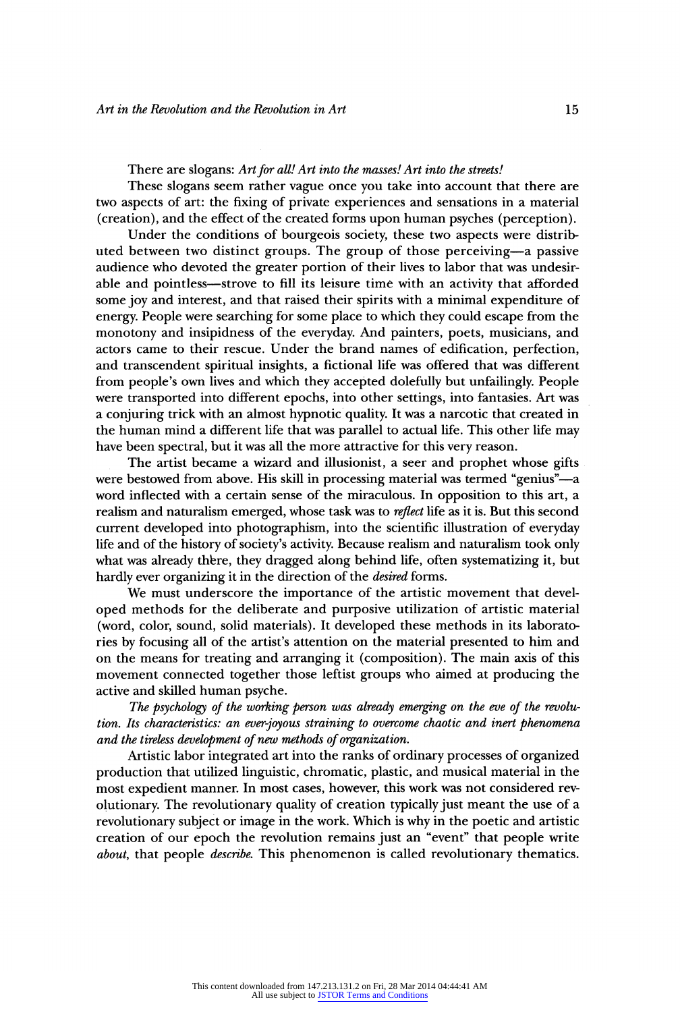## There are slogans: Art for all! Art into the masses! Art into the streets!

These slogans seem rather vague once you take into account that there are two aspects of art: the fixing of private experiences and sensations in a material (creation), and the effect of the created forms upon human psyches (perception).

Under the conditions of bourgeois society, these two aspects were distributed between two distinct groups. The group of those perceiving—a passive audience who devoted the greater portion of their lives to labor that was undesirable and pointless—strove to fill its leisure time with an activity that afforded some joy and interest, and that raised their spirits with a minimal expenditure of energy. People were searching for some place to which they could escape from the monotony and insipidness of the everyday. And painters, poets, musicians, and actors came to their rescue. Under the brand names of edification, perfection, and transcendent spiritual insights, a fictional life was offered that was different from people's own lives and which they accepted dolefully but unfailingly. People were transported into different epochs, into other settings, into fantasies. Art was a conjuring trick with an almost hypnotic quality. It was a narcotic that created in the human mind a different life that was parallel to actual life. This other life may have been spectral, but it was all the more attractive for this very reason.

The artist became a wizard and illusionist, a seer and prophet whose gifts were bestowed from above. His skill in processing material was termed "genius"—a word inflected with a certain sense of the miraculous. In opposition to this art, a realism and naturalism emerged, whose task was to *reflect* life as it is. But this second current developed into photographism, into the scientific illustration of everyday life and of the history of society's activity. Because realism and naturalism took only what was already there, they dragged along behind life, often systematizing it, but hardly ever organizing it in the direction of the desired forms.

We must underscore the importance of the artistic movement that developed methods for the deliberate and purposive utilization of artistic material (word, color, sound, solid materials). It developed these methods in its laboratories by focusing all of the artist's attention on the material presented to him and on the means for treating and arranging it (composition). The main axis of this movement connected together those leftist groups who aimed at producing the active and skilled human psyche.

The psychology of the working person was already emerging on the eve of the revolution. Its characteristics: an ever-joyous straining to overcome chaotic and inert phenomena and the tireless development of new methods of organization.

Artistic labor integrated art into the ranks of ordinary processes of organized production that utilized linguistic, chromatic, plastic, and musical material in the most expedient manner. In most cases, however, this work was not considered revolutionary. The revolutionary quality of creation typically just meant the use of a revolutionary subject or image in the work. Which is why in the poetic and artistic creation of our epoch the revolution remains just an "event" that people write about, that people *describe*. This phenomenon is called revolutionary thematics.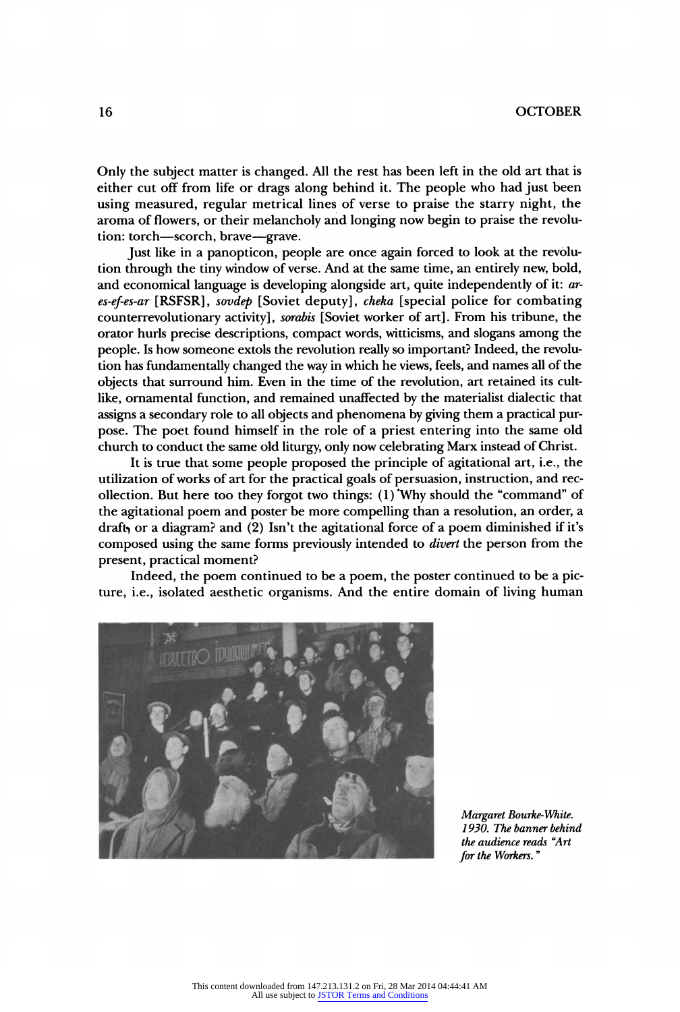Only the subject matter is changed. All the rest has been left in the old art that is either cut off from life or drags along behind it. The people who had just been using measured, regular metrical lines of verse to praise the starry night, the aroma of flowers, or their melancholy and longing now begin to praise the revolution: torch—scorch, brave—grave.

Just like in a panopticon, people are once again forced to look at the revolution through the tiny window of verse. And at the same time, an entirely new, bold, and economical language is developing alongside art, quite independently of it: *ar*es-ef-es-ar [RSFSR], sovdep [Soviet deputy], cheka [special police for combating counterrevolutionary activity], sorabis [Soviet worker of art]. From his tribune, the orator hurls precise descriptions, compact words, witticisms, and slogans among the people. Is how someone extols the revolution really so important? Indeed, the revolution has fundamentally changed the way in which he views, feels, and names all of the objects that surround him. Even in the time of the revolution, art retained its cultlike, ornamental function, and remained unaffected by the materialist dialectic that assigns a secondary role to all objects and phenomena by giving them a practical purpose. The poet found himself in the role of a priest entering into the same old church to conduct the same old liturgy, only now celebrating Marx instead of Christ.

It is true that some people proposed the principle of agitational art, i.e., the utilization of works of art for the practical goals of persuasion, instruction, and recollection. But here too they forgot two things: (l)\*Why should the "command" of the agitational poem and poster be more compelling than a resolution, an order, a draft, or a diagram? and  $(2)$  Isn't the agitational force of a poem diminished if it's composed using the same forms previously intended to *divert* the person from the present, practical moment?

Indeed, the poem continued to be a poem, the poster continued to be a picture, i.e., isolated aesthetic organisms. And the entire domain of living human



Margaret Bourke-White. 1930. The banner behind the audience reads "Art for the Workers."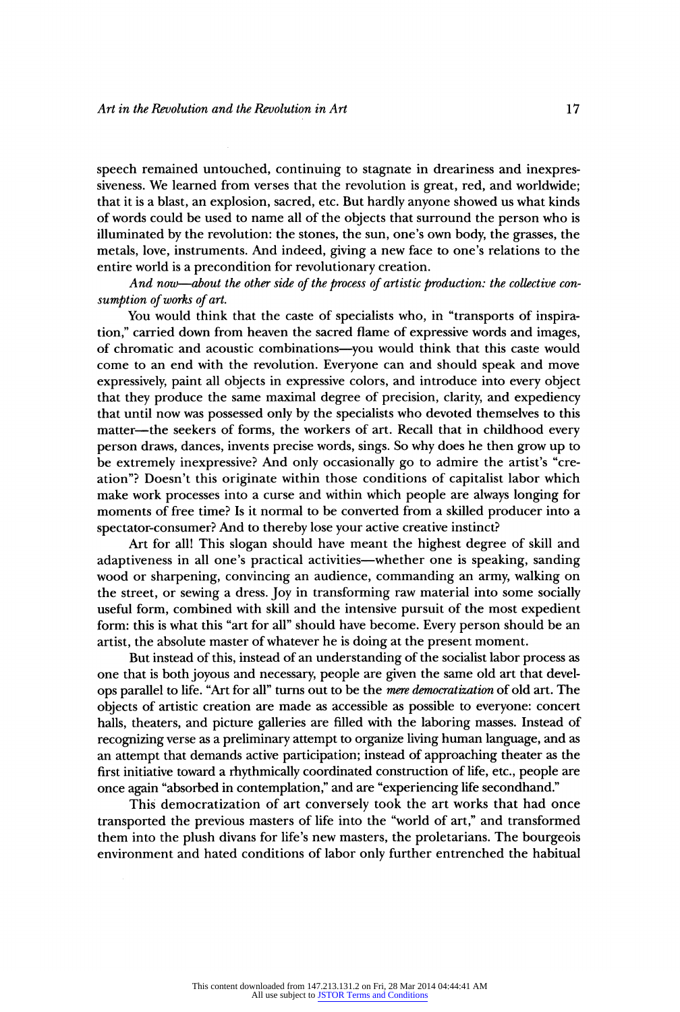speech remained untouched, continuing to stagnate in dreariness and inexpressiveness. We learned from verses that the revolution is great, red, and worldwide; that it is a blast, an explosion, sacred, etc. But hardly anyone showed us what kinds of words could be used to name all of the objects that surround the person who is illuminated by the revolution: the stones, the sun, one's own body, the grasses, the metals, love, instruments. And indeed, giving a new face to one's relations to the entire world is a precondition for revolutionary creation.

And now—about the other side of the process of artistic production: the collective consumption of works of art.

You would think that the caste of specialists who, in "transports of inspiration," carried down from heaven the sacred flame of expressive words and images, of chromatic and acoustic combinations - you would think that this caste would come to an end with the revolution. Everyone can and should speak and move expressively, paint all objects in expressive colors, and introduce into every object that they produce the same maximal degree of precision, clarity, and expediency that until now was possessed only by the specialists who devoted themselves to this matter—the seekers of forms, the workers of art. Recall that in childhood every person draws, dances, invents precise words, sings. So why does he then grow up to be extremely inexpressive? And only occasionally go to admire the artist's "creation"? Doesn't this originate within those conditions of capitalist labor which make work processes into a curse and within which people are always longing for moments of free time? Is it normal to be converted from askilled producer into a spectator-consumer? And to thereby lose your active creative instinct?

Art for all! This slogan should have meant the highest degree of skill and adaptiveness in all one's practical activities—whether one is speaking, sanding wood or sharpening, convincing an audience, commanding an army, walking on the street, or sewing a dress. Joy in transforming raw material into some socially useful form, combined with skill and the intensive pursuit of the most expedient form: this is what this "art for all" should have become. Every person should be an artist, the absolute master of whatever he is doing at the present moment.

But instead of this, instead of an understanding of the socialist labor process as one that is both joyous and necessary, people are given the same old art that develops parallel to life. "Art for all" turns out to be the mere democratization of old art. The objects of artistic creation are made as accessible as possible to everyone: concert halls, theaters, and picture galleries are filled with the laboring masses. Instead of recognizing verse as a preliminary attempt to organize living human language, and as an attempt that demands active participation; instead of approaching theater as the first initiative toward a rhythmically coordinated construction of life, etc., people are once again "absorbed in contemplation," and are "experiencing life secondhand."

This democratization of art conversely took the art works that had once transported the previous masters of life into the "world of art," and transformed them into the plush divans for life's new masters, the proletarians. The bourgeois environment and hated conditions of labor only further entrenched the habitual